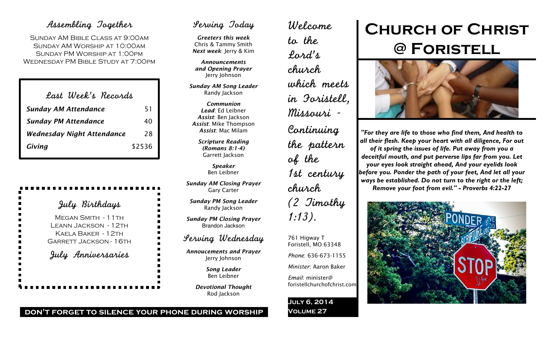# Assembling Together

SUNDAY AM BIBLE CLASS AT 9:00AM Sunday AM Worship at 10:00am Sunday PM Worship at 1:00pm Wednesday PM Bible Study at 7:00pm

| Last Week's Records               |        |
|-----------------------------------|--------|
| <b>Sunday AM Attendance</b>       | 51     |
| <b>Sunday PM Attendance</b>       | 40     |
| <b>Wednesday Night Attendance</b> | 28     |
| Giving                            | \$2536 |

# July Birthdays

MEGAN SMITH - 11TH Leann Jackson - 12th Kaela Baker - 12th Garrett Jackson - 16th July Anniversaries

# Serving Today

*Greeters this week* Chris & Tammy Smith *Next week*: Jerry & Kim

*Announcements and Opening Prayer* Jerry Johnson

*Sunday AM Song Leader* Randy Jackson

*Communion Lead*: Ed Leibner *Assist*: Ben Jackson *Assist*: Mike Thompson *Assist*: Mac Milam

> *Scripture Reading (Romans 8:1-4)* Garrett Jackson

> > *Speaker* Ben Leibner

*Sunday AM Closing Prayer* Gary Carter

*Sunday PM Song Leader* Randy Jackson

*Sunday PM Closing Prayer* Brandon Jackson

# Serving Wednesday

*Annoucements and Prayer* Jerry Johnson

> *Song Leader* Ben Leibner

*Devotional Thought* Rod Jackson

to the Lord's church which meets in Foristell, Missouri - Continuing the pattern of the 1st century church (2 Timothy 1:13).

761 Higway T Foristell, MO 63348

*Phone*: 636-673-1155

*Minister*: Aaron Baker

foristellchurchofchrist.com

*Email*: minister@

**July 6, 2014 Volume 27**

Welcome

**Church of Christ @ Foristell**



*"For they are life to those who find them, And health to all their flesh. Keep your heart with all diligence, For out of it spring the issues of life. Put away from you a deceitful mouth, and put perverse lips far from you. Let your eyes look straight ahead, And your eyelids look before you. Ponder the path of your feet, And let all your ways be established. Do not turn to the right or the left; Remove your foot from evil." - Proverbs 4:22-27*



**don't forget to silence your phone during worship**